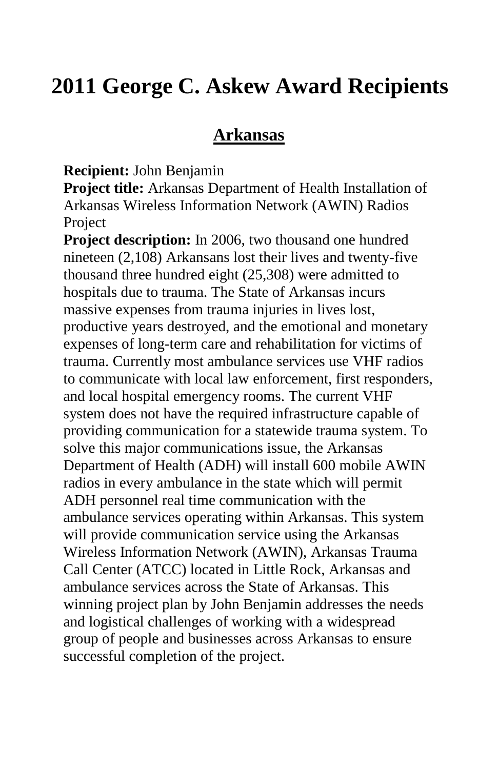# **2011 George C. Askew Award Recipients**

#### **Arkansas**

**Recipient:** John Benjamin

**Project title:** Arkansas Department of Health Installation of Arkansas Wireless Information Network (AWIN) Radios Project

**Project description:** In 2006, two thousand one hundred nineteen (2,108) Arkansans lost their lives and twenty-five thousand three hundred eight (25,308) were admitted to hospitals due to trauma. The State of Arkansas incurs massive expenses from trauma injuries in lives lost, productive years destroyed, and the emotional and monetary expenses of long-term care and rehabilitation for victims of trauma. Currently most ambulance services use VHF radios to communicate with local law enforcement, first responders, and local hospital emergency rooms. The current VHF system does not have the required infrastructure capable of providing communication for a statewide trauma system. To solve this major communications issue, the Arkansas Department of Health (ADH) will install 600 mobile AWIN radios in every ambulance in the state which will permit ADH personnel real time communication with the ambulance services operating within Arkansas. This system will provide communication service using the Arkansas Wireless Information Network (AWIN), Arkansas Trauma Call Center (ATCC) located in Little Rock, Arkansas and ambulance services across the State of Arkansas. This winning project plan by John Benjamin addresses the needs and logistical challenges of working with a widespread group of people and businesses across Arkansas to ensure successful completion of the project.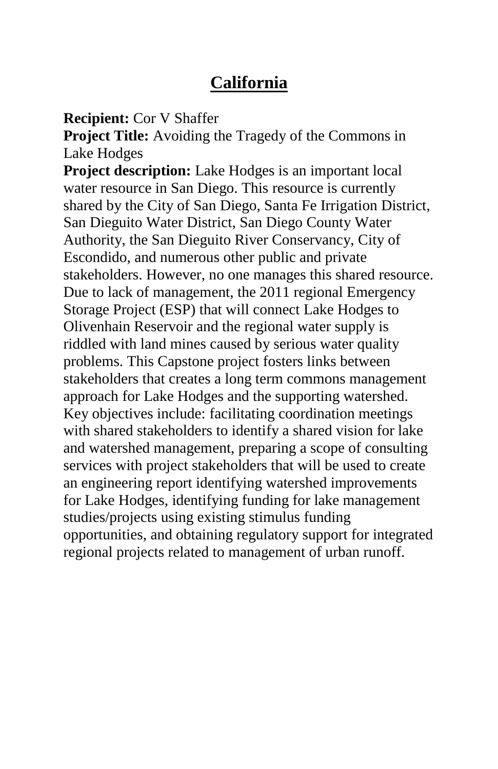### **California**

**Recipient:** Cor V Shaffer

**Project Title:** Avoiding the Tragedy of the Commons in Lake Hodges

**Project description:** Lake Hodges is an important local water resource in San Diego. This resource is currently shared by the City of San Diego, Santa Fe Irrigation District, San Dieguito Water District, San Diego County Water Authority, the San Dieguito River Conservancy, City of Escondido, and numerous other public and private stakeholders. However, no one manages this shared resource. Due to lack of management, the 2011 regional Emergency Storage Project (ESP) that will connect Lake Hodges to Olivenhain Reservoir and the regional water supply is riddled with land mines caused by serious water quality problems. This Capstone project fosters links between stakeholders that creates a long term commons management approach for Lake Hodges and the supporting watershed. Key objectives include: facilitating coordination meetings with shared stakeholders to identify a shared vision for lake and watershed management, preparing a scope of consulting services with project stakeholders that will be used to create an engineering report identifying watershed improvements for Lake Hodges, identifying funding for lake management studies/projects using existing stimulus funding opportunities, and obtaining regulatory support for integrated regional projects related to management of urban runoff.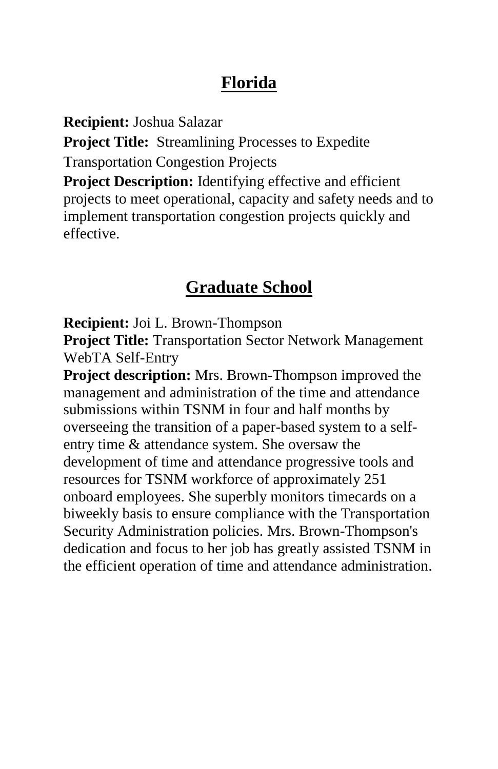# **Florida**

**Recipient:** Joshua Salazar

**Project Title:** Streamlining Processes to Expedite Transportation Congestion Projects

**Project Description:** Identifying effective and efficient projects to meet operational, capacity and safety needs and to implement transportation congestion projects quickly and effective.

# **Graduate School**

**Recipient:** Joi L. Brown-Thompson

**Project Title:** Transportation Sector Network Management WebTA Self-Entry

**Project description:** Mrs. Brown-Thompson improved the management and administration of the time and attendance submissions within TSNM in four and half months by overseeing the transition of a paper-based system to a selfentry time & attendance system. She oversaw the development of time and attendance progressive tools and resources for TSNM workforce of approximately 251 onboard employees. She superbly monitors timecards on a biweekly basis to ensure compliance with the Transportation Security Administration policies. Mrs. Brown-Thompson's dedication and focus to her job has greatly assisted TSNM in the efficient operation of time and attendance administration.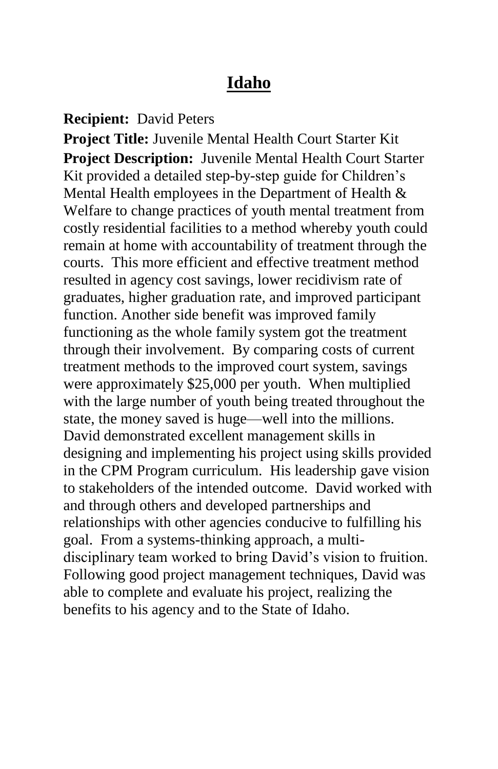#### **Idaho**

**Recipient:** David Peters

**Project Title:** Juvenile Mental Health Court Starter Kit **Project Description:** Juvenile Mental Health Court Starter Kit provided a detailed step-by-step guide for Children's Mental Health employees in the Department of Health & Welfare to change practices of youth mental treatment from costly residential facilities to a method whereby youth could remain at home with accountability of treatment through the courts. This more efficient and effective treatment method resulted in agency cost savings, lower recidivism rate of graduates, higher graduation rate, and improved participant function. Another side benefit was improved family functioning as the whole family system got the treatment through their involvement. By comparing costs of current treatment methods to the improved court system, savings were approximately \$25,000 per youth. When multiplied with the large number of youth being treated throughout the state, the money saved is huge—well into the millions. David demonstrated excellent management skills in designing and implementing his project using skills provided in the CPM Program curriculum. His leadership gave vision to stakeholders of the intended outcome. David worked with and through others and developed partnerships and relationships with other agencies conducive to fulfilling his goal. From a systems-thinking approach, a multidisciplinary team worked to bring David's vision to fruition. Following good project management techniques, David was able to complete and evaluate his project, realizing the benefits to his agency and to the State of Idaho.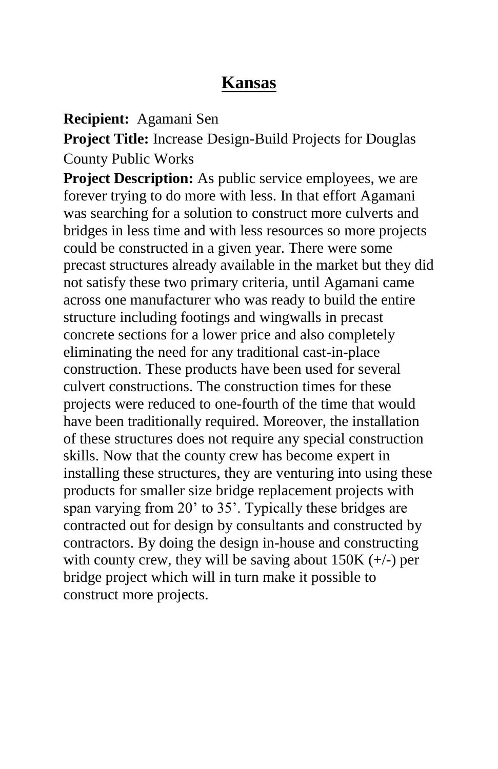### **Kansas**

**Recipient:** Agamani Sen

**Project Title:** Increase Design-Build Projects for Douglas County Public Works

**Project Description:** As public service employees, we are forever trying to do more with less. In that effort Agamani was searching for a solution to construct more culverts and bridges in less time and with less resources so more projects could be constructed in a given year. There were some precast structures already available in the market but they did not satisfy these two primary criteria, until Agamani came across one manufacturer who was ready to build the entire structure including footings and wingwalls in precast concrete sections for a lower price and also completely eliminating the need for any traditional cast-in-place construction. These products have been used for several culvert constructions. The construction times for these projects were reduced to one-fourth of the time that would have been traditionally required. Moreover, the installation of these structures does not require any special construction skills. Now that the county crew has become expert in installing these structures, they are venturing into using these products for smaller size bridge replacement projects with span varying from 20' to 35'. Typically these bridges are contracted out for design by consultants and constructed by contractors. By doing the design in-house and constructing with county crew, they will be saving about  $150K (+/-)$  per bridge project which will in turn make it possible to construct more projects.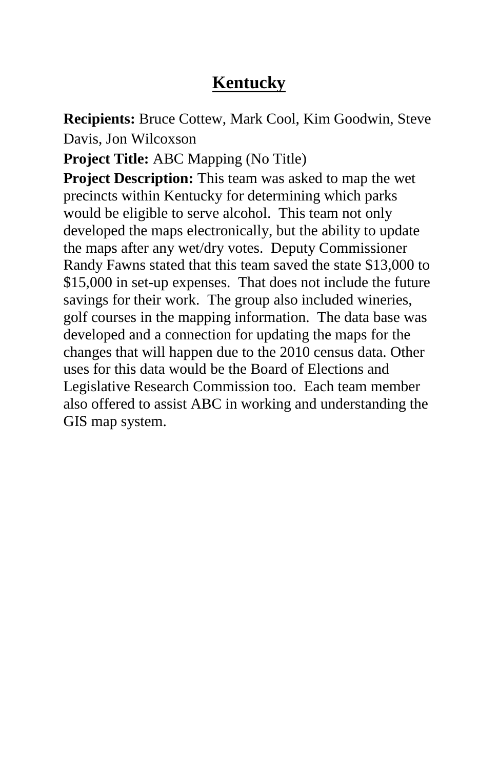# **Kentucky**

**Recipients:** Bruce Cottew, Mark Cool, Kim Goodwin, Steve Davis, Jon Wilcoxson

**Project Title:** ABC Mapping (No Title)

**Project Description:** This team was asked to map the wet precincts within Kentucky for determining which parks would be eligible to serve alcohol. This team not only developed the maps electronically, but the ability to update the maps after any wet/dry votes. Deputy Commissioner Randy Fawns stated that this team saved the state \$13,000 to \$15,000 in set-up expenses. That does not include the future savings for their work. The group also included wineries, golf courses in the mapping information. The data base was developed and a connection for updating the maps for the changes that will happen due to the 2010 census data. Other uses for this data would be the Board of Elections and Legislative Research Commission too. Each team member also offered to assist ABC in working and understanding the GIS map system.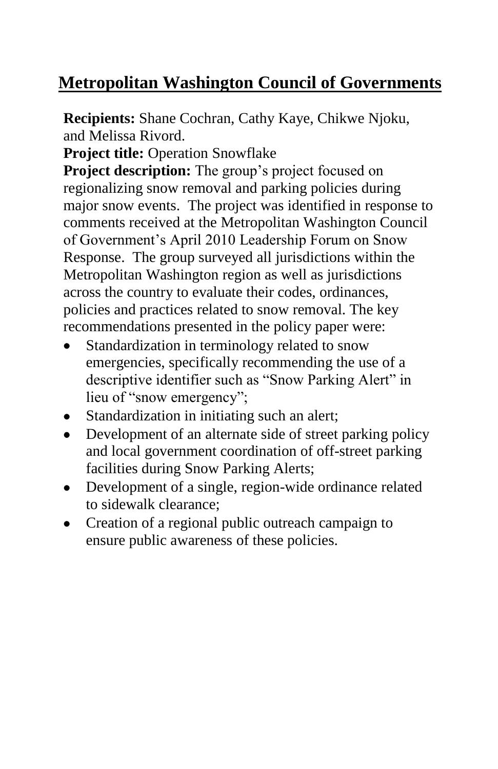# **Metropolitan Washington Council of Governments**

**Recipients:** Shane Cochran, Cathy Kaye, Chikwe Njoku, and Melissa Rivord.

**Project title: Operation Snowflake** 

**Project description:** The group's project focused on regionalizing snow removal and parking policies during major snow events. The project was identified in response to comments received at the Metropolitan Washington Council of Government's April 2010 Leadership Forum on Snow Response. The group surveyed all jurisdictions within the Metropolitan Washington region as well as jurisdictions across the country to evaluate their codes, ordinances, policies and practices related to snow removal. The key recommendations presented in the policy paper were:

- Standardization in terminology related to snow emergencies, specifically recommending the use of a descriptive identifier such as "Snow Parking Alert" in lieu of "snow emergency";
- Standardization in initiating such an alert;
- Development of an alternate side of street parking policy and local government coordination of off-street parking facilities during Snow Parking Alerts;
- Development of a single, region-wide ordinance related  $\bullet$ to sidewalk clearance;
- Creation of a regional public outreach campaign to ensure public awareness of these policies.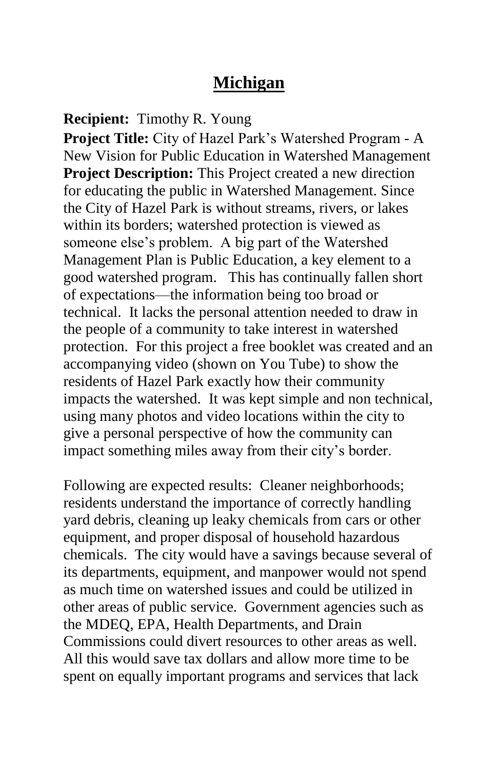### **Michigan**

**Recipient:** Timothy R. Young

**Project Title:** City of Hazel Park's Watershed Program - A New Vision for Public Education in Watershed Management **Project Description:** This Project created a new direction for educating the public in Watershed Management. Since the City of Hazel Park is without streams, rivers, or lakes within its borders; watershed protection is viewed as someone else's problem. A big part of the Watershed Management Plan is Public Education, a key element to a good watershed program. This has continually fallen short of expectations—the information being too broad or technical. It lacks the personal attention needed to draw in the people of a community to take interest in watershed protection. For this project a free booklet was created and an accompanying video (shown on You Tube) to show the residents of Hazel Park exactly how their community impacts the watershed. It was kept simple and non technical, using many photos and video locations within the city to give a personal perspective of how the community can impact something miles away from their city's border.

Following are expected results: Cleaner neighborhoods; residents understand the importance of correctly handling yard debris, cleaning up leaky chemicals from cars or other equipment, and proper disposal of household hazardous chemicals. The city would have a savings because several of its departments, equipment, and manpower would not spend as much time on watershed issues and could be utilized in other areas of public service. Government agencies such as the MDEQ, EPA, Health Departments, and Drain Commissions could divert resources to other areas as well. All this would save tax dollars and allow more time to be spent on equally important programs and services that lack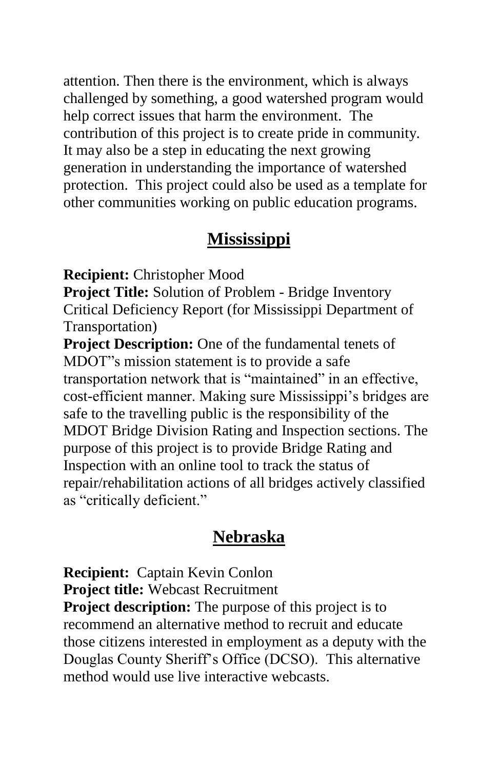attention. Then there is the environment, which is always challenged by something, a good watershed program would help correct issues that harm the environment. The contribution of this project is to create pride in community. It may also be a step in educating the next growing generation in understanding the importance of watershed protection. This project could also be used as a template for other communities working on public education programs.

#### **Mississippi**

**Recipient:** Christopher Mood

**Project Title:** Solution of Problem - Bridge Inventory Critical Deficiency Report (for Mississippi Department of Transportation)

**Project Description:** One of the fundamental tenets of MDOT"s mission statement is to provide a safe transportation network that is "maintained" in an effective, cost-efficient manner. Making sure Mississippi's bridges are safe to the travelling public is the responsibility of the MDOT Bridge Division Rating and Inspection sections. The purpose of this project is to provide Bridge Rating and Inspection with an online tool to track the status of repair/rehabilitation actions of all bridges actively classified as "critically deficient."

#### **Nebraska**

**Recipient:** Captain Kevin Conlon **Project title:** Webcast Recruitment

**Project description:** The purpose of this project is to recommend an alternative method to recruit and educate those citizens interested in employment as a deputy with the Douglas County Sheriff's Office (DCSO). This alternative method would use live interactive webcasts.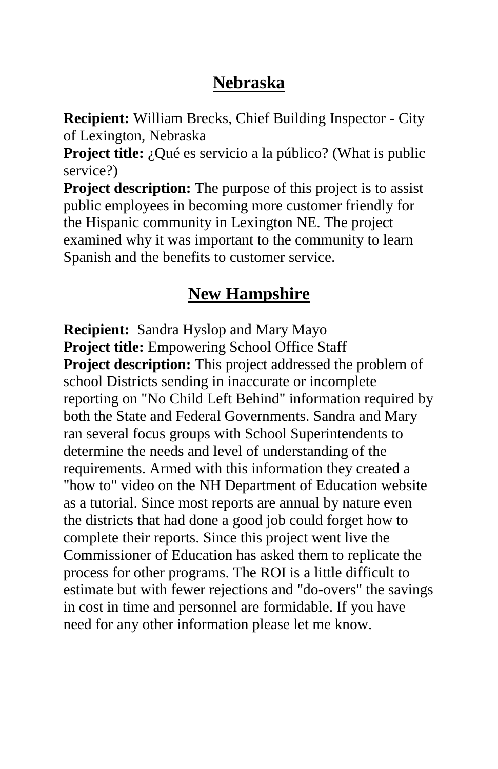# **Nebraska**

**Recipient:** William Brecks, Chief Building Inspector - City of Lexington, Nebraska

**Project title:** ¿Qué es servicio a la público? (What is public service?)

**Project description:** The purpose of this project is to assist public employees in becoming more customer friendly for the Hispanic community in Lexington NE. The project examined why it was important to the community to learn Spanish and the benefits to customer service.

### **New Hampshire**

**Recipient:** Sandra Hyslop and Mary Mayo **Project title:** Empowering School Office Staff **Project description:** This project addressed the problem of school Districts sending in inaccurate or incomplete reporting on "No Child Left Behind" information required by both the State and Federal Governments. Sandra and Mary ran several focus groups with School Superintendents to determine the needs and level of understanding of the requirements. Armed with this information they created a "how to" video on the NH Department of Education website as a tutorial. Since most reports are annual by nature even the districts that had done a good job could forget how to complete their reports. Since this project went live the Commissioner of Education has asked them to replicate the process for other programs. The ROI is a little difficult to estimate but with fewer rejections and "do-overs" the savings in cost in time and personnel are formidable. If you have need for any other information please let me know.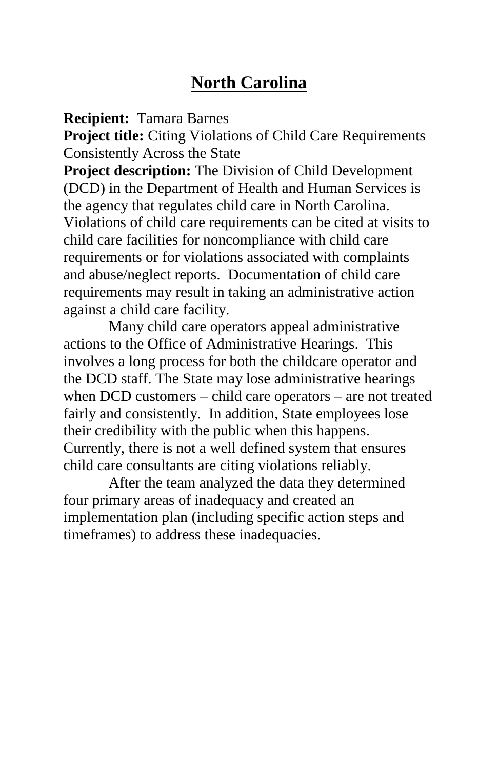# **North Carolina**

**Recipient:** Tamara Barnes

**Project title:** Citing Violations of Child Care Requirements Consistently Across the State

**Project description:** The Division of Child Development (DCD) in the Department of Health and Human Services is the agency that regulates child care in North Carolina. Violations of child care requirements can be cited at visits to child care facilities for noncompliance with child care requirements or for violations associated with complaints and abuse/neglect reports. Documentation of child care requirements may result in taking an administrative action against a child care facility.

Many child care operators appeal administrative actions to the Office of Administrative Hearings. This involves a long process for both the childcare operator and the DCD staff. The State may lose administrative hearings when DCD customers – child care operators – are not treated fairly and consistently. In addition, State employees lose their credibility with the public when this happens. Currently, there is not a well defined system that ensures child care consultants are citing violations reliably.

After the team analyzed the data they determined four primary areas of inadequacy and created an implementation plan (including specific action steps and timeframes) to address these inadequacies.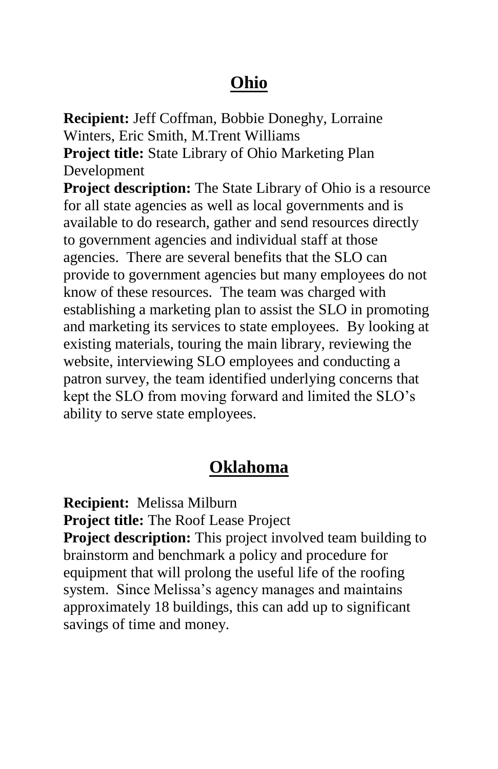# **Ohio**

**Recipient:** Jeff Coffman, Bobbie Doneghy, Lorraine Winters, Eric Smith, M.Trent Williams **Project title:** State Library of Ohio Marketing Plan Development

**Project description:** The State Library of Ohio is a resource for all state agencies as well as local governments and is available to do research, gather and send resources directly to government agencies and individual staff at those agencies. There are several benefits that the SLO can provide to government agencies but many employees do not know of these resources. The team was charged with establishing a marketing plan to assist the SLO in promoting and marketing its services to state employees. By looking at existing materials, touring the main library, reviewing the website, interviewing SLO employees and conducting a patron survey, the team identified underlying concerns that kept the SLO from moving forward and limited the SLO's ability to serve state employees.

# **Oklahoma**

**Recipient:** Melissa Milburn **Project title:** The Roof Lease Project **Project description:** This project involved team building to brainstorm and benchmark a policy and procedure for equipment that will prolong the useful life of the roofing system. Since Melissa's agency manages and maintains approximately 18 buildings, this can add up to significant savings of time and money.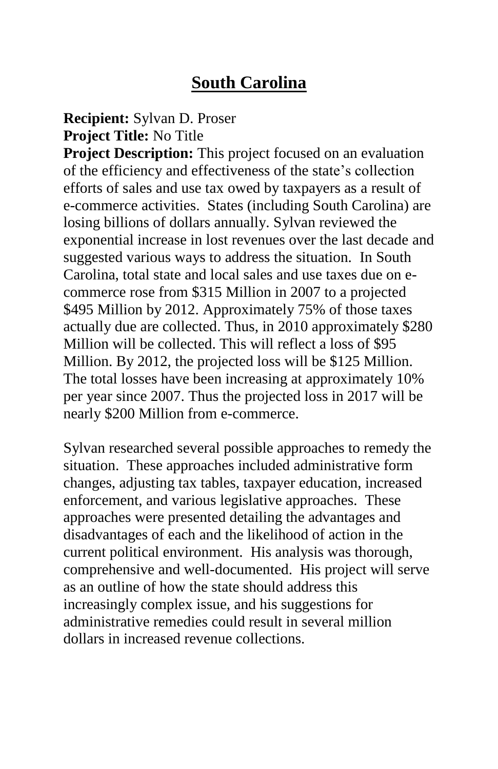# **South Carolina**

#### **Recipient:** Sylvan D. Proser **Project Title:** No Title

**Project Description:** This project focused on an evaluation of the efficiency and effectiveness of the state's collection efforts of sales and use tax owed by taxpayers as a result of e-commerce activities. States (including South Carolina) are losing billions of dollars annually. Sylvan reviewed the exponential increase in lost revenues over the last decade and suggested various ways to address the situation. In South Carolina, total state and local sales and use taxes due on ecommerce rose from \$315 Million in 2007 to a projected \$495 Million by 2012. Approximately 75% of those taxes actually due are collected. Thus, in 2010 approximately \$280 Million will be collected. This will reflect a loss of \$95 Million. By 2012, the projected loss will be \$125 Million. The total losses have been increasing at approximately 10% per year since 2007. Thus the projected loss in 2017 will be nearly \$200 Million from e-commerce.

Sylvan researched several possible approaches to remedy the situation. These approaches included administrative form changes, adjusting tax tables, taxpayer education, increased enforcement, and various legislative approaches. These approaches were presented detailing the advantages and disadvantages of each and the likelihood of action in the current political environment. His analysis was thorough, comprehensive and well-documented. His project will serve as an outline of how the state should address this increasingly complex issue, and his suggestions for administrative remedies could result in several million dollars in increased revenue collections.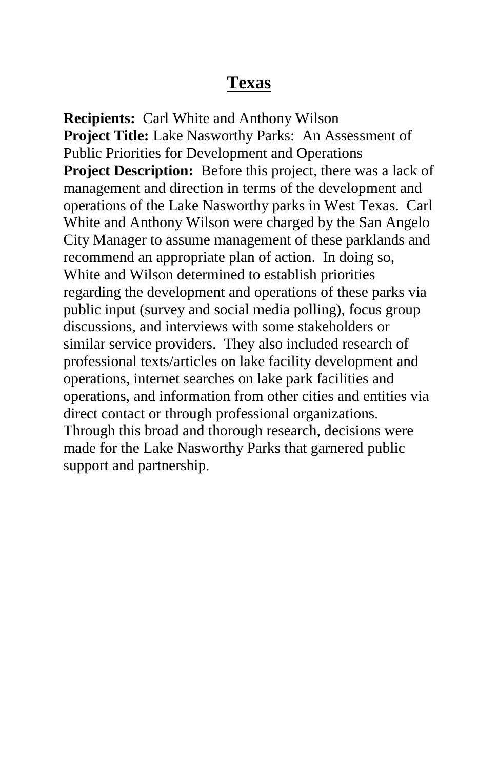#### **Texas**

**Recipients:** Carl White and Anthony Wilson **Project Title:** Lake Nasworthy Parks: An Assessment of Public Priorities for Development and Operations **Project Description:** Before this project, there was a lack of management and direction in terms of the development and operations of the Lake Nasworthy parks in West Texas. Carl White and Anthony Wilson were charged by the San Angelo City Manager to assume management of these parklands and recommend an appropriate plan of action. In doing so, White and Wilson determined to establish priorities regarding the development and operations of these parks via public input (survey and social media polling), focus group discussions, and interviews with some stakeholders or similar service providers. They also included research of professional texts/articles on lake facility development and operations, internet searches on lake park facilities and operations, and information from other cities and entities via direct contact or through professional organizations. Through this broad and thorough research, decisions were made for the Lake Nasworthy Parks that garnered public support and partnership.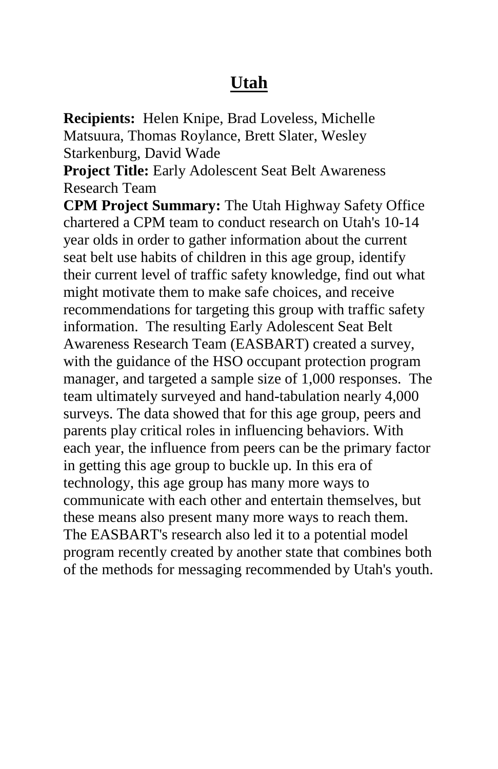## **Utah**

**Recipients:** Helen Knipe, Brad Loveless, Michelle Matsuura, Thomas Roylance, Brett Slater, Wesley Starkenburg, David Wade

**Project Title:** Early Adolescent Seat Belt Awareness Research Team

**CPM Project Summary:** The Utah Highway Safety Office chartered a CPM team to conduct research on Utah's 10-14 year olds in order to gather information about the current seat belt use habits of children in this age group, identify their current level of traffic safety knowledge, find out what might motivate them to make safe choices, and receive recommendations for targeting this group with traffic safety information. The resulting Early Adolescent Seat Belt Awareness Research Team (EASBART) created a survey, with the guidance of the HSO occupant protection program manager, and targeted a sample size of 1,000 responses. The team ultimately surveyed and hand-tabulation nearly 4,000 surveys. The data showed that for this age group, peers and parents play critical roles in influencing behaviors. With each year, the influence from peers can be the primary factor in getting this age group to buckle up. In this era of technology, this age group has many more ways to communicate with each other and entertain themselves, but these means also present many more ways to reach them. The EASBART's research also led it to a potential model program recently created by another state that combines both of the methods for messaging recommended by Utah's youth.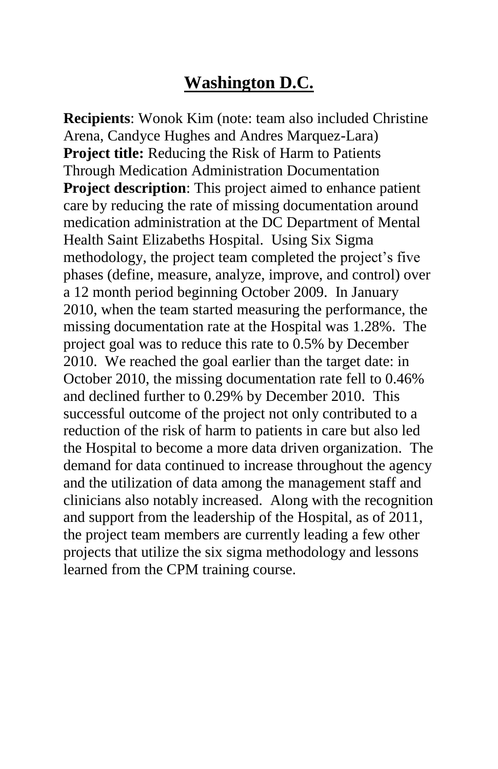# **Washington D.C.**

**Recipients**: Wonok Kim (note: team also included Christine Arena, Candyce Hughes and Andres Marquez-Lara) **Project title:** Reducing the Risk of Harm to Patients Through Medication Administration Documentation **Project description**: This project aimed to enhance patient care by reducing the rate of missing documentation around medication administration at the DC Department of Mental Health Saint Elizabeths Hospital. Using Six Sigma methodology, the project team completed the project's five phases (define, measure, analyze, improve, and control) over a 12 month period beginning October 2009. In January 2010, when the team started measuring the performance, the missing documentation rate at the Hospital was 1.28%. The project goal was to reduce this rate to 0.5% by December 2010. We reached the goal earlier than the target date: in October 2010, the missing documentation rate fell to 0.46% and declined further to 0.29% by December 2010. This successful outcome of the project not only contributed to a reduction of the risk of harm to patients in care but also led the Hospital to become a more data driven organization. The demand for data continued to increase throughout the agency and the utilization of data among the management staff and clinicians also notably increased. Along with the recognition and support from the leadership of the Hospital, as of 2011, the project team members are currently leading a few other projects that utilize the six sigma methodology and lessons learned from the CPM training course.